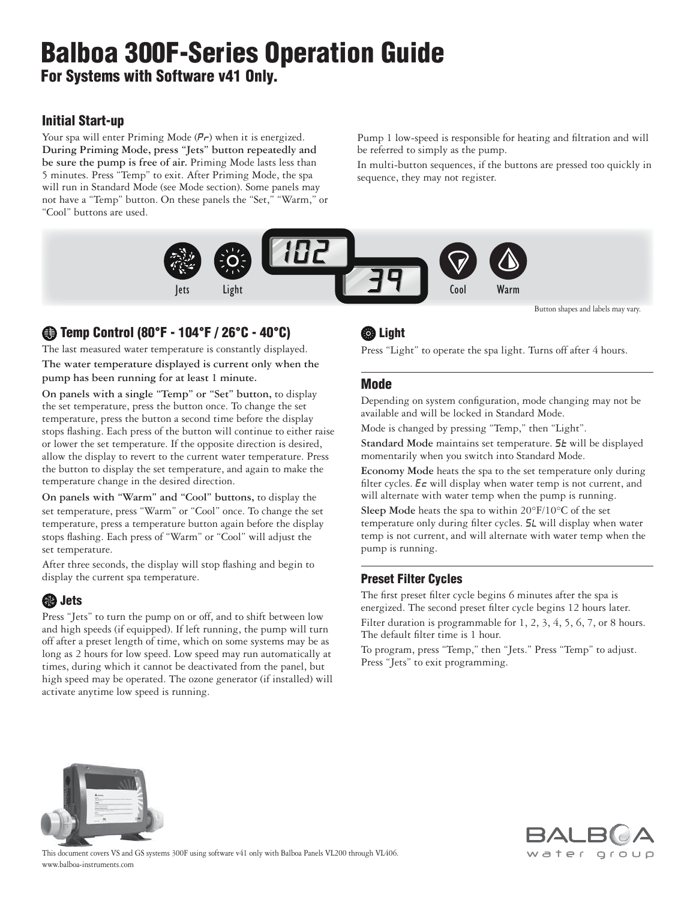# **Balboa 300F-Series Operation Guide For Systems with Software v41 Only.**

### **Initial Start-up**

Your spa will enter Priming Mode  $(P_r)$  when it is energized. **During Priming Mode, press "Jets" button repeatedly and be sure the pump is free of air.** Priming Mode lasts less than 5 minutes. Press "Temp" to exit. After Priming Mode, the spa will run in Standard Mode (see Mode section). Some panels may not have a "Temp" button. On these panels the "Set," "Warm," or "Cool" buttons are used.

Pump 1 low-speed is responsible for heating and filtration and will be referred to simply as the pump.

In multi-button sequences, if the buttons are pressed too quickly in sequence, they may not register.



 **Temp Control (80°F - 104°F / 26°C - 40°C)**

The last measured water temperature is constantly displayed. **The water temperature displayed is current only when the pump has been running for at least 1 minute.**

**On panels with a single "Temp" or "Set" button,** to display the set temperature, press the button once. To change the set temperature, press the button a second time before the display stops flashing. Each press of the button will continue to either raise or lower the set temperature. If the opposite direction is desired, allow the display to revert to the current water temperature. Press the button to display the set temperature, and again to make the temperature change in the desired direction.

**On panels with "Warm" and "Cool" buttons,** to display the set temperature, press "Warm" or "Cool" once. To change the set temperature, press a temperature button again before the display stops flashing. Each press of "Warm" or "Cool" will adjust the set temperature.

After three seconds, the display will stop flashing and begin to display the current spa temperature.

## **Jets**

Press "Jets" to turn the pump on or off, and to shift between low and high speeds (if equipped). If left running, the pump will turn off after a preset length of time, which on some systems may be as long as 2 hours for low speed. Low speed may run automatically at times, during which it cannot be deactivated from the panel, but high speed may be operated. The ozone generator (if installed) will activate anytime low speed is running.

# **CB** Light

Press "Light" to operate the spa light. Turns off after 4 hours.

## **Mode**

Depending on system configuration, mode changing may not be available and will be locked in Standard Mode.

Mode is changed by pressing "Temp," then "Light".

Standard Mode maintains set temperature. 5<sup>L</sup> will be displayed momentarily when you switch into Standard Mode.

**Economy Mode** heats the spa to the set temperature only during filter cycles.  $E \subset \text{will display when water temp is not current, and}$ will alternate with water temp when the pump is running.

**Sleep Mode** heats the spa to within 20°F/10°C of the set temperature only during filter cycles. 5L will display when water temp is not current, and will alternate with water temp when the pump is running.

#### **Preset Filter Cycles**

The first preset filter cycle begins 6 minutes after the spa is energized. The second preset filter cycle begins 12 hours later. Filter duration is programmable for 1, 2, 3, 4, 5, 6, 7, or 8 hours. The default filter time is 1 hour.

To program, press "Temp," then "Jets." Press "Temp" to adjust. Press "Jets" to exit programming.





www.balboa-instruments.com This document covers VS and GS systems 300F using software v41 only with Balboa Panels VL200 through VL406.